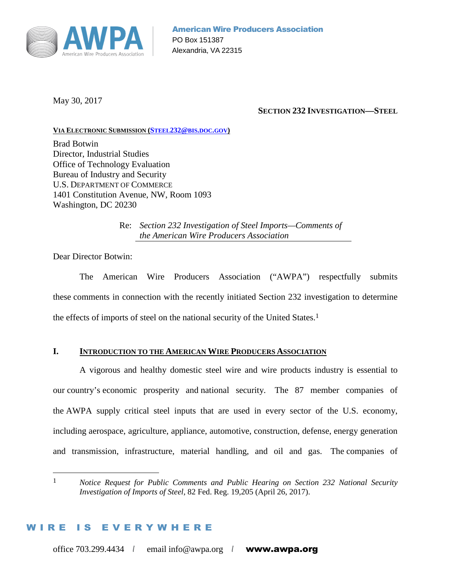

May 30, 2017

#### **SECTION 232 INVESTIGATION—STEEL**

#### **VIA ELECTRONIC SUBMISSION (STEEL232@BIS.DOC.GOV)**

Brad Botwin Director, Industrial Studies Office of Technology Evaluation Bureau of Industry and Security U.S. DEPARTMENT OF COMMERCE 1401 Constitution Avenue, NW, Room 1093 Washington, DC 20230

> Re: *Section 232 Investigation of Steel Imports—Comments of the American Wire Producers Association*

Dear Director Botwin:

The American Wire Producers Association ("AWPA") respectfully submits these comments in connection with the recently initiated Section 232 investigation to determine the effects of imports of steel on the national security of the United States.1

#### **I. INTRODUCTION TO THE AMERICAN WIRE PRODUCERS ASSOCIATION**

A vigorous and healthy domestic steel wire and wire products industry is essential to our country's economic prosperity and national security. The 87 member companies of the AWPA supply critical steel inputs that are used in every sector of the U.S. economy, including aerospace, agriculture, appliance, automotive, construction, defense, energy generation and transmission, infrastructure, material handling, and oil and gas. The companies of

#### IS EVERYWHERE

<sup>1</sup> *Notice Request for Public Comments and Public Hearing on Section 232 National Security Investigation of Imports of Steel*, 82 Fed. Reg. 19,205 (April 26, 2017).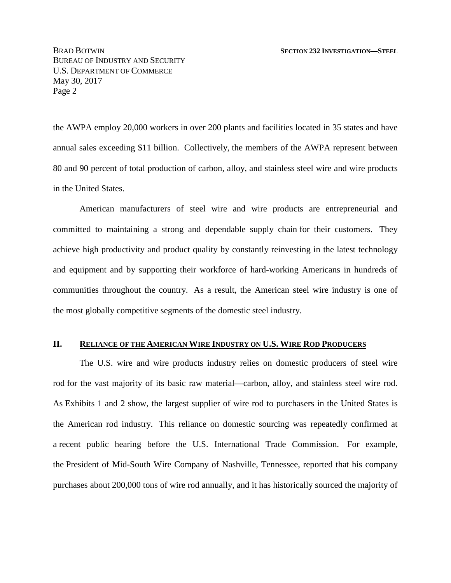the AWPA employ 20,000 workers in over 200 plants and facilities located in 35 states and have annual sales exceeding \$11 billion. Collectively, the members of the AWPA represent between 80 and 90 percent of total production of carbon, alloy, and stainless steel wire and wire products in the United States.

American manufacturers of steel wire and wire products are entrepreneurial and committed to maintaining a strong and dependable supply chain for their customers. They achieve high productivity and product quality by constantly reinvesting in the latest technology and equipment and by supporting their workforce of hard-working Americans in hundreds of communities throughout the country. As a result, the American steel wire industry is one of the most globally competitive segments of the domestic steel industry.

#### **II. RELIANCE OF THE AMERICAN WIRE INDUSTRY ON U.S. WIRE ROD PRODUCERS**

The U.S. wire and wire products industry relies on domestic producers of steel wire rod for the vast majority of its basic raw material—carbon, alloy, and stainless steel wire rod. As Exhibits 1 and 2 show, the largest supplier of wire rod to purchasers in the United States is the American rod industry. This reliance on domestic sourcing was repeatedly confirmed at a recent public hearing before the U.S. International Trade Commission. For example, the President of Mid-South Wire Company of Nashville, Tennessee, reported that his company purchases about 200,000 tons of wire rod annually, and it has historically sourced the majority of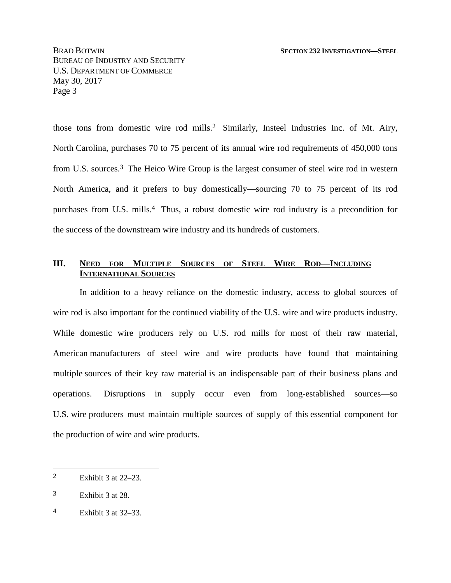those tons from domestic wire rod mills.2 Similarly, Insteel Industries Inc. of Mt. Airy, North Carolina, purchases 70 to 75 percent of its annual wire rod requirements of 450,000 tons from U.S. sources.3 The Heico Wire Group is the largest consumer of steel wire rod in western North America, and it prefers to buy domestically—sourcing 70 to 75 percent of its rod purchases from U.S. mills.4 Thus, a robust domestic wire rod industry is a precondition for the success of the downstream wire industry and its hundreds of customers.

#### **III. NEED FOR MULTIPLE SOURCES OF STEEL WIRE ROD—INCLUDING INTERNATIONAL SOURCES**

In addition to a heavy reliance on the domestic industry, access to global sources of wire rod is also important for the continued viability of the U.S. wire and wire products industry. While domestic wire producers rely on U.S. rod mills for most of their raw material, American manufacturers of steel wire and wire products have found that maintaining multiple sources of their key raw material is an indispensable part of their business plans and operations. Disruptions in supply occur even from long-established sources—so U.S. wire producers must maintain multiple sources of supply of this essential component for the production of wire and wire products.

<sup>2</sup> Exhibit 3 at 22–23.

<sup>3</sup> Exhibit 3 at 28.

<sup>4</sup> Exhibit 3 at 32–33.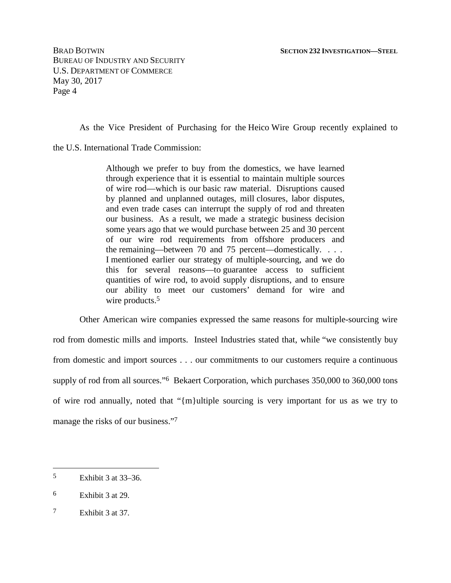As the Vice President of Purchasing for the Heico Wire Group recently explained to

the U.S. International Trade Commission:

Although we prefer to buy from the domestics, we have learned through experience that it is essential to maintain multiple sources of wire rod—which is our basic raw material. Disruptions caused by planned and unplanned outages, mill closures, labor disputes, and even trade cases can interrupt the supply of rod and threaten our business. As a result, we made a strategic business decision some years ago that we would purchase between 25 and 30 percent of our wire rod requirements from offshore producers and the remaining—between 70 and 75 percent—domestically. . . . I mentioned earlier our strategy of multiple-sourcing, and we do this for several reasons—to guarantee access to sufficient quantities of wire rod, to avoid supply disruptions, and to ensure our ability to meet our customers' demand for wire and wire products.<sup>5</sup>

Other American wire companies expressed the same reasons for multiple-sourcing wire rod from domestic mills and imports. Insteel Industries stated that, while "we consistently buy from domestic and import sources . . . our commitments to our customers require a continuous supply of rod from all sources."6 Bekaert Corporation, which purchases 350,000 to 360,000 tons of wire rod annually, noted that "{m}ultiple sourcing is very important for us as we try to manage the risks of our business."7

<sup>5</sup> Exhibit 3 at 33–36.

<sup>6</sup> Exhibit 3 at 29.

<sup>7</sup> Exhibit 3 at 37.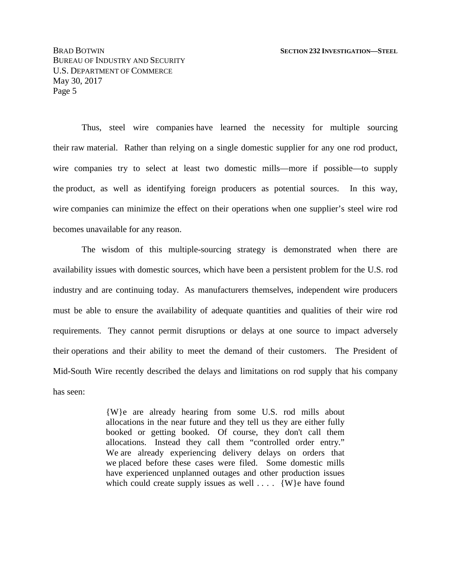Thus, steel wire companies have learned the necessity for multiple sourcing their raw material. Rather than relying on a single domestic supplier for any one rod product, wire companies try to select at least two domestic mills—more if possible—to supply the product, as well as identifying foreign producers as potential sources. In this way, wire companies can minimize the effect on their operations when one supplier's steel wire rod becomes unavailable for any reason.

The wisdom of this multiple-sourcing strategy is demonstrated when there are availability issues with domestic sources, which have been a persistent problem for the U.S. rod industry and are continuing today. As manufacturers themselves, independent wire producers must be able to ensure the availability of adequate quantities and qualities of their wire rod requirements. They cannot permit disruptions or delays at one source to impact adversely their operations and their ability to meet the demand of their customers. The President of Mid-South Wire recently described the delays and limitations on rod supply that his company has seen:

> {W}e are already hearing from some U.S. rod mills about allocations in the near future and they tell us they are either fully booked or getting booked. Of course, they don't call them allocations. Instead they call them "controlled order entry." We are already experiencing delivery delays on orders that we placed before these cases were filed. Some domestic mills have experienced unplanned outages and other production issues which could create supply issues as well  $\dots$  {W}e have found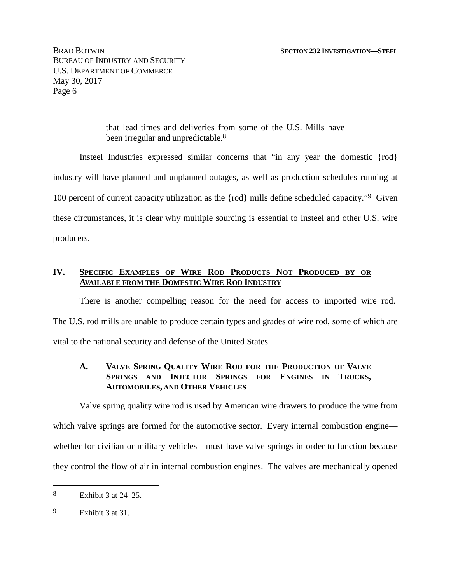> that lead times and deliveries from some of the U.S. Mills have been irregular and unpredictable.<sup>8</sup>

Insteel Industries expressed similar concerns that "in any year the domestic {rod} industry will have planned and unplanned outages, as well as production schedules running at 100 percent of current capacity utilization as the {rod} mills define scheduled capacity."9 Given these circumstances, it is clear why multiple sourcing is essential to Insteel and other U.S. wire producers.

#### **IV. SPECIFIC EXAMPLES OF WIRE ROD PRODUCTS NOT PRODUCED BY OR AVAILABLE FROM THE DOMESTIC WIRE ROD INDUSTRY**

There is another compelling reason for the need for access to imported wire rod. The U.S. rod mills are unable to produce certain types and grades of wire rod, some of which are vital to the national security and defense of the United States.

#### **A. VALVE SPRING QUALITY WIRE ROD FOR THE PRODUCTION OF VALVE SPRINGS AND INJECTOR SPRINGS FOR ENGINES IN TRUCKS, AUTOMOBILES, AND OTHER VEHICLES**

Valve spring quality wire rod is used by American wire drawers to produce the wire from which valve springs are formed for the automotive sector. Every internal combustion engine whether for civilian or military vehicles—must have valve springs in order to function because they control the flow of air in internal combustion engines. The valves are mechanically opened

<sup>8</sup> Exhibit 3 at 24–25.

<sup>9</sup> Exhibit 3 at 31.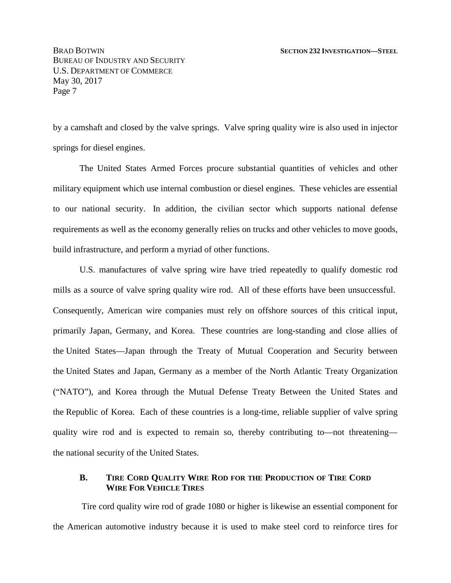by a camshaft and closed by the valve springs. Valve spring quality wire is also used in injector springs for diesel engines.

The United States Armed Forces procure substantial quantities of vehicles and other military equipment which use internal combustion or diesel engines. These vehicles are essential to our national security. In addition, the civilian sector which supports national defense requirements as well as the economy generally relies on trucks and other vehicles to move goods, build infrastructure, and perform a myriad of other functions.

U.S. manufactures of valve spring wire have tried repeatedly to qualify domestic rod mills as a source of valve spring quality wire rod. All of these efforts have been unsuccessful. Consequently, American wire companies must rely on offshore sources of this critical input, primarily Japan, Germany, and Korea. These countries are long-standing and close allies of the United States—Japan through the Treaty of Mutual Cooperation and Security between the United States and Japan, Germany as a member of the North Atlantic Treaty Organization ("NATO"), and Korea through the Mutual Defense Treaty Between the United States and the Republic of Korea. Each of these countries is a long-time, reliable supplier of valve spring quality wire rod and is expected to remain so, thereby contributing to—not threatening the national security of the United States.

#### **B. TIRE CORD QUALITY WIRE ROD FOR THE PRODUCTION OF TIRE CORD WIRE FOR VEHICLE TIRES**

Tire cord quality wire rod of grade 1080 or higher is likewise an essential component for the American automotive industry because it is used to make steel cord to reinforce tires for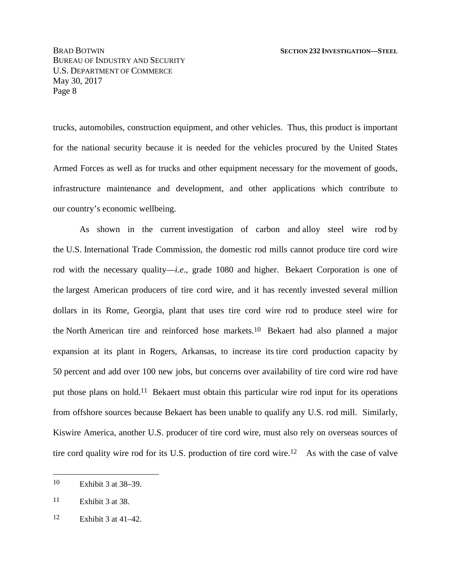trucks, automobiles, construction equipment, and other vehicles. Thus, this product is important for the national security because it is needed for the vehicles procured by the United States Armed Forces as well as for trucks and other equipment necessary for the movement of goods, infrastructure maintenance and development, and other applications which contribute to our country's economic wellbeing.

As shown in the current investigation of carbon and alloy steel wire rod by the U.S. International Trade Commission, the domestic rod mills cannot produce tire cord wire rod with the necessary quality—*i.e*., grade 1080 and higher. Bekaert Corporation is one of the largest American producers of tire cord wire, and it has recently invested several million dollars in its Rome, Georgia, plant that uses tire cord wire rod to produce steel wire for the North American tire and reinforced hose markets.10 Bekaert had also planned a major expansion at its plant in Rogers, Arkansas, to increase its tire cord production capacity by 50 percent and add over 100 new jobs, but concerns over availability of tire cord wire rod have put those plans on hold.11 Bekaert must obtain this particular wire rod input for its operations from offshore sources because Bekaert has been unable to qualify any U.S. rod mill. Similarly, Kiswire America, another U.S. producer of tire cord wire, must also rely on overseas sources of tire cord quality wire rod for its U.S. production of tire cord wire.12 As with the case of valve

<sup>10</sup> Exhibit 3 at 38–39.

<sup>11</sup> Exhibit 3 at 38.

<sup>12</sup> Exhibit 3 at 41–42.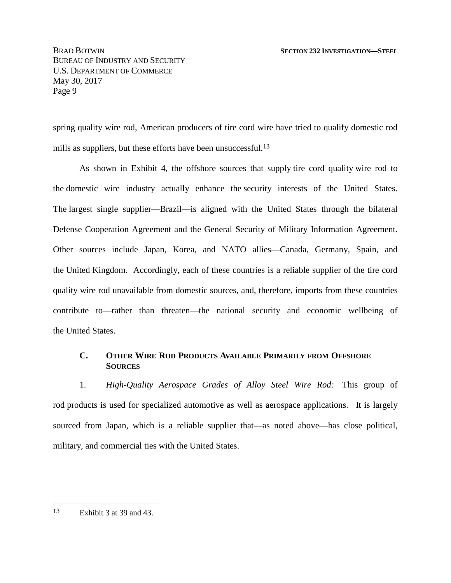spring quality wire rod, American producers of tire cord wire have tried to qualify domestic rod mills as suppliers, but these efforts have been unsuccessful.<sup>13</sup>

As shown in Exhibit 4, the offshore sources that supply tire cord quality wire rod to the domestic wire industry actually enhance the security interests of the United States. The largest single supplier—Brazil—is aligned with the United States through the bilateral Defense Cooperation Agreement and the General Security of Military Information Agreement. Other sources include Japan, Korea, and NATO allies—Canada, Germany, Spain, and the United Kingdom. Accordingly, each of these countries is a reliable supplier of the tire cord quality wire rod unavailable from domestic sources, and, therefore, imports from these countries contribute to—rather than threaten—the national security and economic wellbeing of the United States.

#### **C. OTHER WIRE ROD PRODUCTS AVAILABLE PRIMARILY FROM OFFSHORE SOURCES**

1. *High-Quality Aerospace Grades of Alloy Steel Wire Rod:* This group of rod products is used for specialized automotive as well as aerospace applications. It is largely sourced from Japan, which is a reliable supplier that—as noted above—has close political, military, and commercial ties with the United States.

<sup>13</sup> Exhibit 3 at 39 and 43.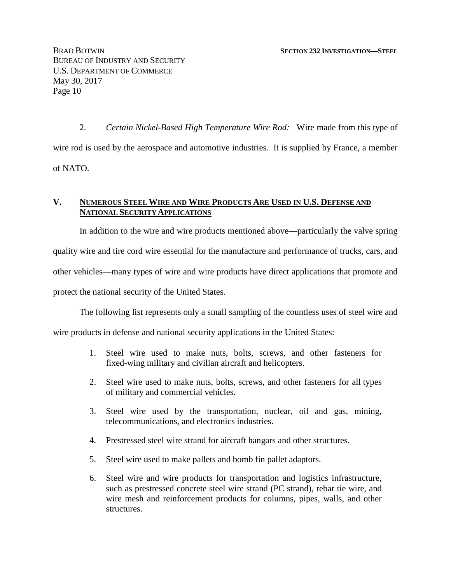2. *Certain Nickel-Based High Temperature Wire Rod:* Wire made from this type of wire rod is used by the aerospace and automotive industries. It is supplied by France, a member of NATO.

#### **V. NUMEROUS STEEL WIRE AND WIRE PRODUCTS ARE USED IN U.S. DEFENSE AND NATIONAL SECURITY APPLICATIONS**

In addition to the wire and wire products mentioned above—particularly the valve spring quality wire and tire cord wire essential for the manufacture and performance of trucks, cars, and other vehicles—many types of wire and wire products have direct applications that promote and protect the national security of the United States.

The following list represents only a small sampling of the countless uses of steel wire and

wire products in defense and national security applications in the United States:

- 1. Steel wire used to make nuts, bolts, screws, and other fasteners for fixed-wing military and civilian aircraft and helicopters.
- 2. Steel wire used to make nuts, bolts, screws, and other fasteners for all types of military and commercial vehicles.
- 3. Steel wire used by the transportation, nuclear, oil and gas, mining, telecommunications, and electronics industries.
- 4. Prestressed steel wire strand for aircraft hangars and other structures.
- 5. Steel wire used to make pallets and bomb fin pallet adaptors.
- 6. Steel wire and wire products for transportation and logistics infrastructure, such as prestressed concrete steel wire strand (PC strand), rebar tie wire, and wire mesh and reinforcement products for columns, pipes, walls, and other structures.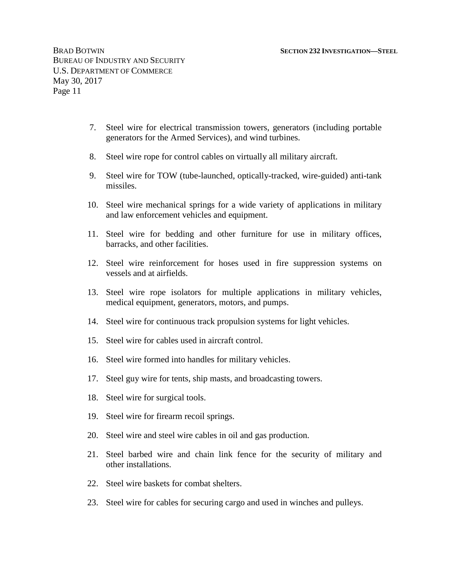- 7. Steel wire for electrical transmission towers, generators (including portable generators for the Armed Services), and wind turbines.
- 8. Steel wire rope for control cables on virtually all military aircraft.
- 9. Steel wire for TOW (tube-launched, optically-tracked, wire-guided) anti-tank missiles.
- 10. Steel wire mechanical springs for a wide variety of applications in military and law enforcement vehicles and equipment.
- 11. Steel wire for bedding and other furniture for use in military offices, barracks, and other facilities.
- 12. Steel wire reinforcement for hoses used in fire suppression systems on vessels and at airfields.
- 13. Steel wire rope isolators for multiple applications in military vehicles, medical equipment, generators, motors, and pumps.
- 14. Steel wire for continuous track propulsion systems for light vehicles.
- 15. Steel wire for cables used in aircraft control.
- 16. Steel wire formed into handles for military vehicles.
- 17. Steel guy wire for tents, ship masts, and broadcasting towers.
- 18. Steel wire for surgical tools.
- 19. Steel wire for firearm recoil springs.
- 20. Steel wire and steel wire cables in oil and gas production.
- 21. Steel barbed wire and chain link fence for the security of military and other installations.
- 22. Steel wire baskets for combat shelters.
- 23. Steel wire for cables for securing cargo and used in winches and pulleys.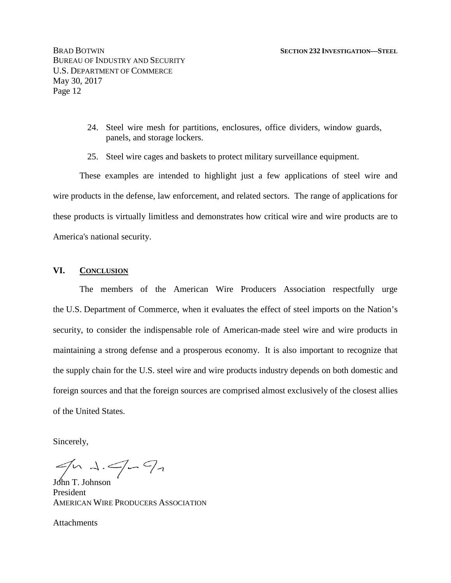- 24. Steel wire mesh for partitions, enclosures, office dividers, window guards, panels, and storage lockers.
- 25. Steel wire cages and baskets to protect military surveillance equipment.

These examples are intended to highlight just a few applications of steel wire and wire products in the defense, law enforcement, and related sectors. The range of applications for these products is virtually limitless and demonstrates how critical wire and wire products are to America's national security.

#### **VI. CONCLUSION**

The members of the American Wire Producers Association respectfully urge the U.S. Department of Commerce, when it evaluates the effect of steel imports on the Nation's security, to consider the indispensable role of American-made steel wire and wire products in maintaining a strong defense and a prosperous economy. It is also important to recognize that the supply chain for the U.S. steel wire and wire products industry depends on both domestic and foreign sources and that the foreign sources are comprised almost exclusively of the closest allies of the United States.

Sincerely,

 $J_{\text{coh}}$   $\rightarrow$   $\rightarrow$   $\rightarrow$   $\rightarrow$   $\rightarrow$ 

President AMERICAN WIRE PRODUCERS ASSOCIATION

**Attachments**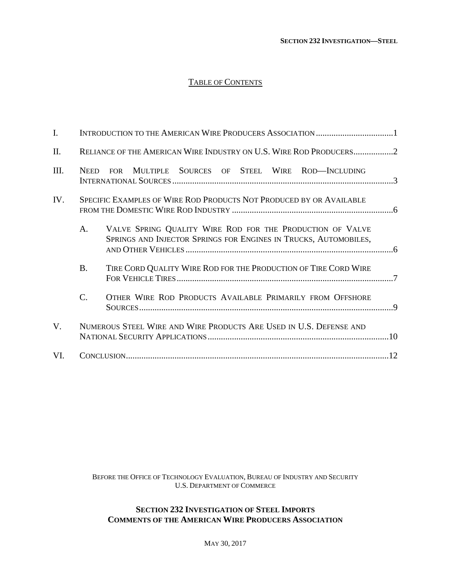#### TABLE OF CONTENTS

| $\mathbf{I}$ . |                                                                    |                                                                                                                               |  |  |  |  |
|----------------|--------------------------------------------------------------------|-------------------------------------------------------------------------------------------------------------------------------|--|--|--|--|
| II.            |                                                                    | RELIANCE OF THE AMERICAN WIRE INDUSTRY ON U.S. WIRE ROD PRODUCERS2                                                            |  |  |  |  |
| III.           |                                                                    | NEED FOR MULTIPLE SOURCES OF STEEL WIRE ROD-INCLUDING                                                                         |  |  |  |  |
| IV.            |                                                                    | SPECIFIC EXAMPLES OF WIRE ROD PRODUCTS NOT PRODUCED BY OR AVAILABLE                                                           |  |  |  |  |
|                | A.                                                                 | VALVE SPRING QUALITY WIRE ROD FOR THE PRODUCTION OF VALVE<br>SPRINGS AND INJECTOR SPRINGS FOR ENGINES IN TRUCKS, AUTOMOBILES, |  |  |  |  |
|                | <b>B.</b>                                                          | TIRE CORD QUALITY WIRE ROD FOR THE PRODUCTION OF TIRE CORD WIRE                                                               |  |  |  |  |
|                | $\mathcal{C}$ .                                                    | OTHER WIRE ROD PRODUCTS AVAILABLE PRIMARILY FROM OFFSHORE                                                                     |  |  |  |  |
| V.             | NUMEROUS STEEL WIRE AND WIRE PRODUCTS ARE USED IN U.S. DEFENSE AND |                                                                                                                               |  |  |  |  |
| VI.            |                                                                    |                                                                                                                               |  |  |  |  |

BEFORE THE OFFICE OF TECHNOLOGY EVALUATION, BUREAU OF INDUSTRY AND SECURITY U.S. DEPARTMENT OF COMMERCE

#### **SECTION 232 INVESTIGATION OF STEEL IMPORTS COMMENTS OF THE AMERICAN WIRE PRODUCERS ASSOCIATION**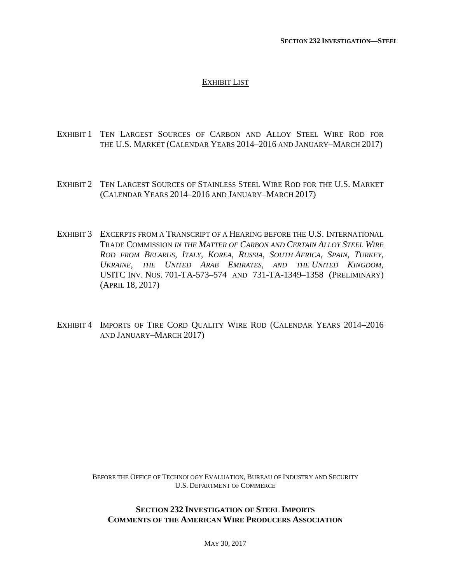#### EXHIBIT LIST

- EXHIBIT 1 TEN LARGEST SOURCES OF CARBON AND ALLOY STEEL WIRE ROD FOR THE U.S. MARKET (CALENDAR YEARS 2014–2016 AND JANUARY–MARCH 2017)
- EXHIBIT 2 TEN LARGEST SOURCES OF STAINLESS STEEL WIRE ROD FOR THE U.S. MARKET (CALENDAR YEARS 2014–2016 AND JANUARY–MARCH 2017)
- EXHIBIT 3 EXCERPTS FROM A TRANSCRIPT OF A HEARING BEFORE THE U.S. INTERNATIONAL TRADE COMMISSION *IN THE MATTER OF CARBON AND CERTAIN ALLOY STEEL WIRE* ROD FROM BELARUS, ITALY, KOREA, RUSSIA, SOUTH AFRICA, SPAIN, TURKEY, *UKRAINE, THE UNITED ARAB EMIRATES, AND THE UNITED KINGDOM,* USITC INV. NOS. 701-TA-573–574 AND 731-TA-1349–1358 (PRELIMINARY) (APRIL 18, 2017)
- EXHIBIT 4 IMPORTS OF TIRE CORD QUALITY WIRE ROD (CALENDAR YEARS 2014–2016 AND JANUARY–MARCH 2017)

BEFORE THE OFFICE OF TECHNOLOGY EVALUATION, BUREAU OF INDUSTRY AND SECURITY U.S. DEPARTMENT OF COMMERCE

#### **SECTION 232 INVESTIGATION OF STEEL IMPORTS COMMENTS OF THE AMERICAN WIRE PRODUCERS ASSOCIATION**

MAY 30, 2017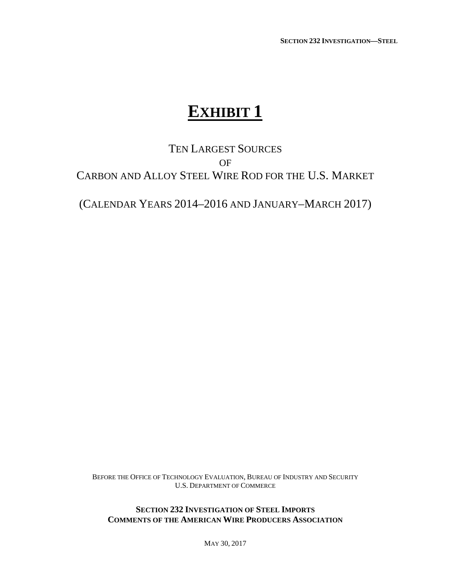**SECTION 232 INVESTIGATION—STEEL**

# **EXHIBIT 1**

## TEN LARGEST SOURCES OF CARBON AND ALLOY STEEL WIRE ROD FOR THE U.S. MARKET

(CALENDAR YEARS 2014–2016 AND JANUARY–MARCH 2017)

BEFORE THE OFFICE OF TECHNOLOGY EVALUATION, BUREAU OF INDUSTRY AND SECURITY U.S. DEPARTMENT OF COMMERCE

**SECTION 232 INVESTIGATION OF STEEL IMPORTS COMMENTS OF THE AMERICAN WIRE PRODUCERS ASSOCIATION**

MAY 30, 2017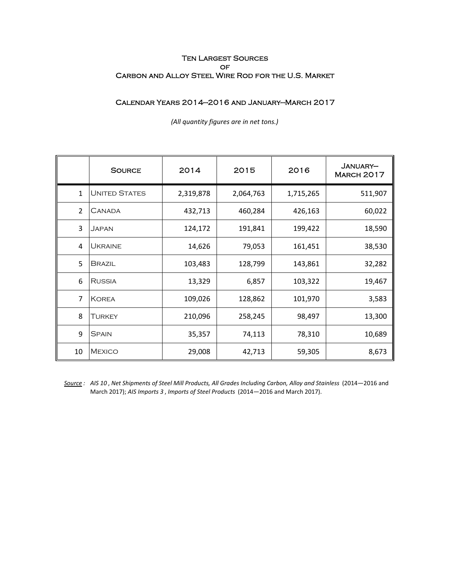#### Ten Largest Sources **OF** Carbon and Alloy Steel Wire Rod for the U.S. Market

#### Calendar Years 2014—2016 and January—March 2017

|                | <b>SOURCE</b>        | 2014      | 2015      | 2016      | JANUARY-<br><b>MARCH 2017</b> |
|----------------|----------------------|-----------|-----------|-----------|-------------------------------|
| $\mathbf{1}$   | <b>UNITED STATES</b> | 2,319,878 | 2,064,763 | 1,715,265 | 511,907                       |
| $\overline{2}$ | <b>CANADA</b>        | 432,713   | 460,284   | 426,163   | 60,022                        |
| 3              | Japan                | 124,172   | 191,841   | 199,422   | 18,590                        |
| 4              | <b>UKRAINE</b>       | 14,626    | 79,053    | 161,451   | 38,530                        |
| 5              | <b>BRAZIL</b>        | 103,483   | 128,799   | 143,861   | 32,282                        |
| 6              | <b>RUSSIA</b>        | 13,329    | 6,857     | 103,322   | 19,467                        |
| 7              | <b>KOREA</b>         | 109,026   | 128,862   | 101,970   | 3,583                         |
| 8              | TURKEY               | 210,096   | 258,245   | 98,497    | 13,300                        |
| 9              | <b>SPAIN</b>         | 35,357    | 74,113    | 78,310    | 10,689                        |
| 10             | <b>MEXICO</b>        | 29,008    | 42,713    | 59,305    | 8,673                         |

*(All quantity figures are in net tons.)*

*Source : AIS 10* , *Net Shipments of Steel Mill Products, All Grades Including Carbon, Alloy and Stainless* (2014—2016 and March 2017); *AIS Imports 3* , *Imports of Steel Products* (2014—2016 and March 2017).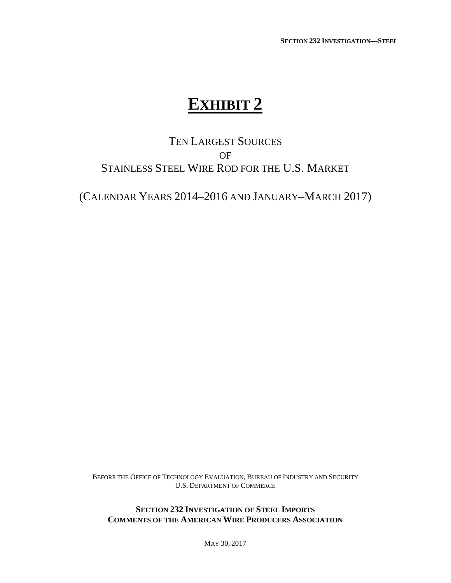**SECTION 232 INVESTIGATION—STEEL**

# **EXHIBIT 2**

## TEN LARGEST SOURCES OF STAINLESS STEEL WIRE ROD FOR THE U.S. MARKET

(CALENDAR YEARS 2014–2016 AND JANUARY–MARCH 2017)

BEFORE THE OFFICE OF TECHNOLOGY EVALUATION, BUREAU OF INDUSTRY AND SECURITY U.S. DEPARTMENT OF COMMERCE

**SECTION 232 INVESTIGATION OF STEEL IMPORTS COMMENTS OF THE AMERICAN WIRE PRODUCERS ASSOCIATION**

MAY 30, 2017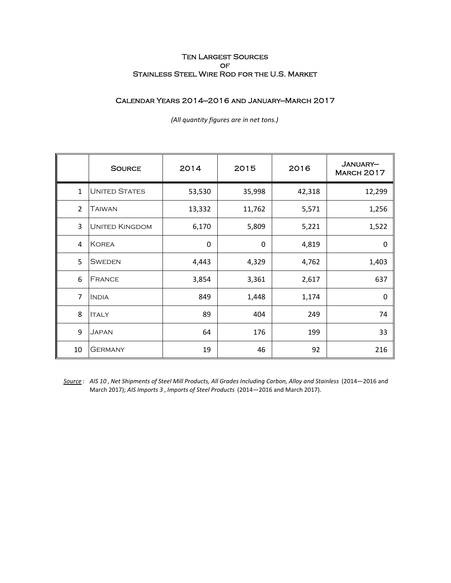#### Ten Largest Sources **OF** Stainless Steel Wire Rod for the U.S. Market

#### Calendar Years 2014—2016 and January—March 2017

|                | <b>SOURCE</b>         | 2014   | 2015   | 2016   | JANUARY-<br><b>MARCH 2017</b> |
|----------------|-----------------------|--------|--------|--------|-------------------------------|
| $\mathbf{1}$   | <b>UNITED STATES</b>  | 53,530 | 35,998 | 42,318 | 12,299                        |
| $\overline{2}$ | Taiwan                | 13,332 | 11,762 | 5,571  | 1,256                         |
| 3              | <b>UNITED KINGDOM</b> | 6,170  | 5,809  | 5,221  | 1,522                         |
| 4              | <b>KOREA</b>          | 0      | 0      | 4,819  | 0                             |
| 5              | <b>SWEDEN</b>         | 4,443  | 4,329  | 4,762  | 1,403                         |
| 6              | <b>FRANCE</b>         | 3,854  | 3,361  | 2,617  | 637                           |
| 7              | <b>INDIA</b>          | 849    | 1,448  | 1,174  | $\Omega$                      |
| 8              | <b>ITALY</b>          | 89     | 404    | 249    | 74                            |
| 9              | JAPAN                 | 64     | 176    | 199    | 33                            |
| 10             | <b>GERMANY</b>        | 19     | 46     | 92     | 216                           |

*(All quantity figures are in net tons.)*

*Source : AIS 10* , *Net Shipments of Steel Mill Products, All Grades Including Carbon, Alloy and Stainless* (2014—2016 and March 2017); *AIS Imports 3* , *Imports of Steel Products* (2014—2016 and March 2017).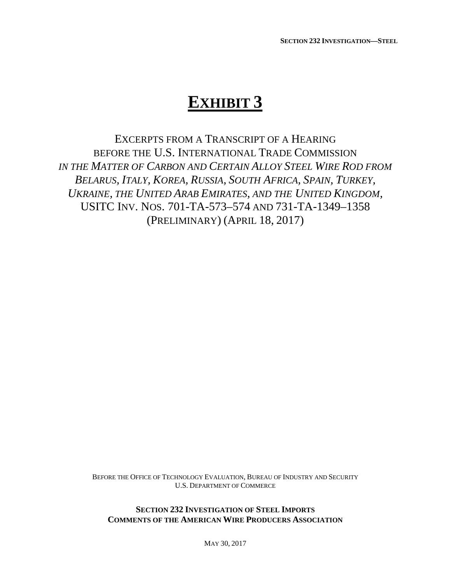## **EXHIBIT 3**

EXCERPTS FROM A TRANSCRIPT OF A HEARING BEFORE THE U.S. INTERNATIONAL TRADE COMMISSION *IN THE MATTER OF CARBON AND CERTAIN ALLOY STEEL WIRE ROD FROM BELARUS, ITALY, KOREA, RUSSIA, SOUTH AFRICA, SPAIN, TURKEY, UKRAINE, THE UNITED ARAB EMIRATES, AND THE UNITED KINGDOM,* USITC INV. NOS. 701-TA-573–574 AND 731-TA-1349–1358 (PRELIMINARY) (APRIL 18, 2017)

> BEFORE THE OFFICE OF TECHNOLOGY EVALUATION, BUREAU OF INDUSTRY AND SECURITY U.S. DEPARTMENT OF COMMERCE

**SECTION 232 INVESTIGATION OF STEEL IMPORTS COMMENTS OF THE AMERICAN WIRE PRODUCERS ASSOCIATION**

MAY 30, 2017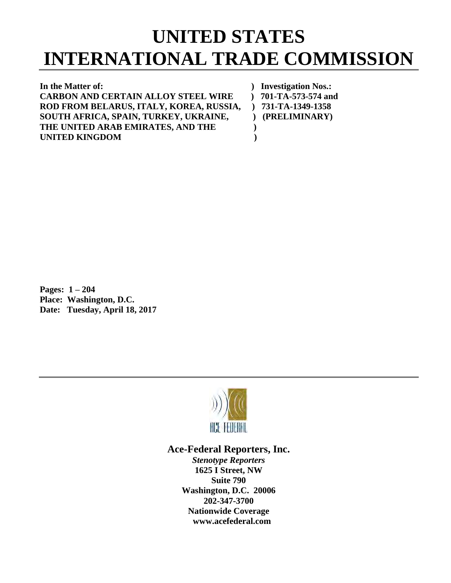# **UNITED STATES INTERNATIONAL TRADE COMMISSION**

**In the Matter of: ) Investigation Nos.: CARBON AND CERTAIN ALLOY STEEL WIRE ) 701-TA-573-574 and ROD FROM BELARUS, ITALY, KOREA, RUSSIA, ) 731-TA-1349-1358**  SOUTH AFRICA, SPAIN, TURKEY, UKRAINE,  $\qquad$  ) (PRELIMINARY) **THE UNITED ARAB EMIRATES, AND THE ) UNITED KINGDOM )**

**Pages: 1 – 204 Place: Washington, D.C. Date: Tuesday, April 18, 2017**



#### **Ace-Federal Reporters, Inc.**

*Stenotype Reporters* **1625 I Street, NW Suite 790 Washington, D.C. 20006 202-347-3700 Nationwide Coverage www.acefederal.com**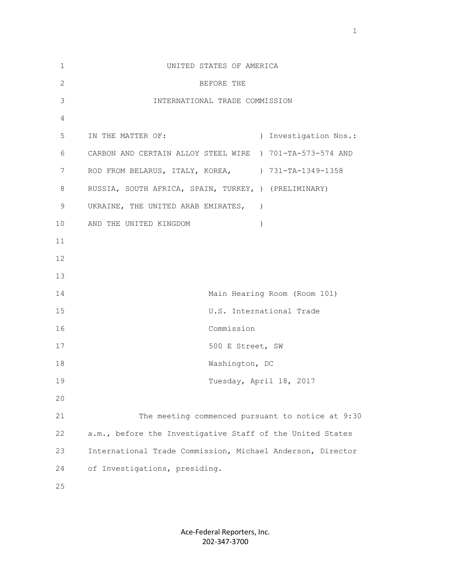| $\mathbf{1}$  | UNITED STATES OF AMERICA                                   |
|---------------|------------------------------------------------------------|
| $\mathbf{2}$  | BEFORE THE                                                 |
| $\mathcal{S}$ | INTERNATIONAL TRADE COMMISSION                             |
| 4             |                                                            |
| 5             | IN THE MATTER OF:<br>) Investigation Nos.:                 |
| 6             | CARBON AND CERTAIN ALLOY STEEL WIRE ) 701-TA-573-574 AND   |
| 7             | ROD FROM BELARUS, ITALY, KOREA, $731-TA-1349-1358$         |
| 8             | RUSSIA, SOUTH AFRICA, SPAIN, TURKEY, ) (PRELIMINARY)       |
| 9             | UKRAINE, THE UNITED ARAB EMIRATES, )                       |
| 10            | AND THE UNITED KINGDOM<br>$\lambda$                        |
| 11            |                                                            |
| 12            |                                                            |
| 13            |                                                            |
| 14            | Main Hearing Room (Room 101)                               |
| 15            | U.S. International Trade                                   |
| 16            | Commission                                                 |
| 17            | 500 E Street, SW                                           |
| 18            | Washington, DC                                             |
| 19            | Tuesday, April 18, 2017                                    |
| 20            |                                                            |
| 21            | The meeting commenced pursuant to notice at 9:30           |
| 22            | a.m., before the Investigative Staff of the United States  |
| 23            | International Trade Commission, Michael Anderson, Director |
| 24            | of Investigations, presiding.                              |
| 25            |                                                            |

Ace-Federal Reporters, Inc. 202-347-3700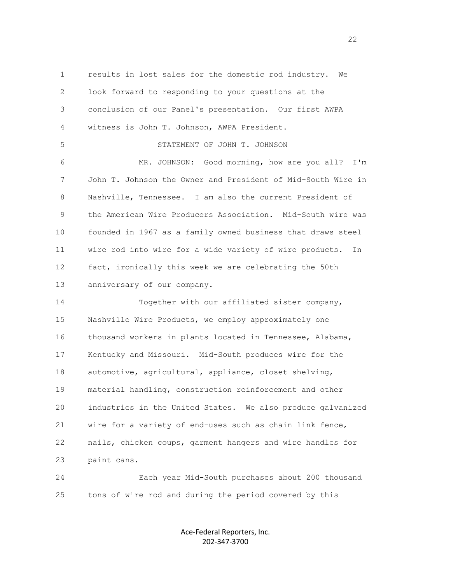1 results in lost sales for the domestic rod industry. We 2 look forward to responding to your questions at the 3 conclusion of our Panel's presentation. Our first AWPA 4 witness is John T. Johnson, AWPA President. 5 STATEMENT OF JOHN T. JOHNSON 6 MR. JOHNSON: Good morning, how are you all? I'm 7 John T. Johnson the Owner and President of Mid-South Wire in 8 Nashville, Tennessee. I am also the current President of 9 the American Wire Producers Association. Mid-South wire was 10 founded in 1967 as a family owned business that draws steel 11 wire rod into wire for a wide variety of wire products. In 12 fact, ironically this week we are celebrating the 50th 13 anniversary of our company. 14 Together with our affiliated sister company, 15 Nashville Wire Products, we employ approximately one 16 thousand workers in plants located in Tennessee, Alabama, 17 Kentucky and Missouri. Mid-South produces wire for the 18 automotive, agricultural, appliance, closet shelving, 19 material handling, construction reinforcement and other 20 industries in the United States. We also produce galvanized 21 wire for a variety of end-uses such as chain link fence, 22 nails, chicken coups, garment hangers and wire handles for 23 paint cans.

 24 Each year Mid-South purchases about 200 thousand 25 tons of wire rod and during the period covered by this

> Ace-Federal Reporters, Inc. 202-347-3700

22<br>22<br>22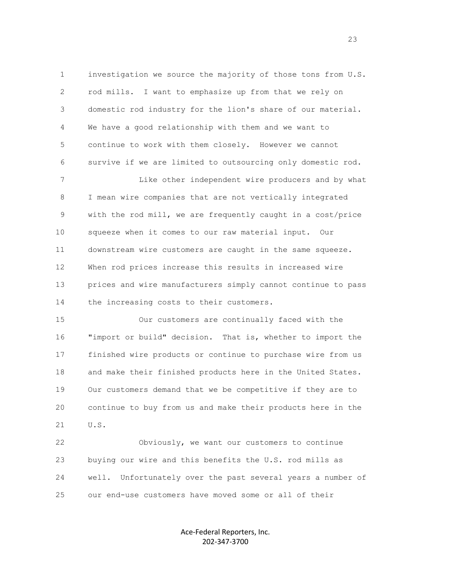1 investigation we source the majority of those tons from U.S. 2 rod mills. I want to emphasize up from that we rely on 3 domestic rod industry for the lion's share of our material. 4 We have a good relationship with them and we want to 5 continue to work with them closely. However we cannot 6 survive if we are limited to outsourcing only domestic rod.

 7 Like other independent wire producers and by what 8 I mean wire companies that are not vertically integrated 9 with the rod mill, we are frequently caught in a cost/price 10 squeeze when it comes to our raw material input. Our 11 downstream wire customers are caught in the same squeeze. 12 When rod prices increase this results in increased wire 13 prices and wire manufacturers simply cannot continue to pass 14 the increasing costs to their customers.

 15 Our customers are continually faced with the 16 "import or build" decision. That is, whether to import the 17 finished wire products or continue to purchase wire from us 18 and make their finished products here in the United States. 19 Our customers demand that we be competitive if they are to 20 continue to buy from us and make their products here in the 21 U.S.

 22 Obviously, we want our customers to continue 23 buying our wire and this benefits the U.S. rod mills as 24 well. Unfortunately over the past several years a number of 25 our end-use customers have moved some or all of their

> Ace-Federal Reporters, Inc. 202-347-3700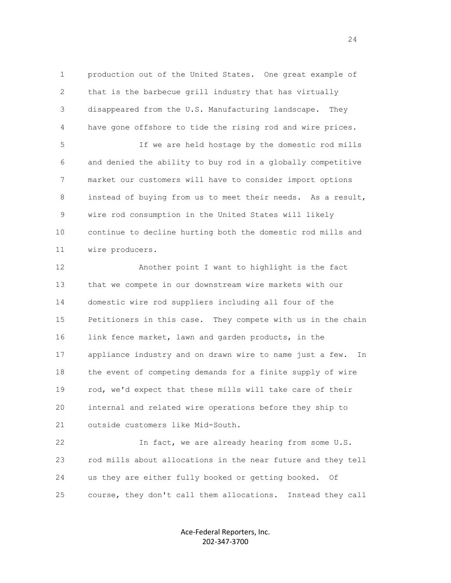1 production out of the United States. One great example of 2 that is the barbecue grill industry that has virtually 3 disappeared from the U.S. Manufacturing landscape. They 4 have gone offshore to tide the rising rod and wire prices. 5 If we are held hostage by the domestic rod mills 6 and denied the ability to buy rod in a globally competitive 7 market our customers will have to consider import options 8 instead of buying from us to meet their needs. As a result,

 9 wire rod consumption in the United States will likely 10 continue to decline hurting both the domestic rod mills and 11 wire producers.

 12 Another point I want to highlight is the fact 13 that we compete in our downstream wire markets with our 14 domestic wire rod suppliers including all four of the 15 Petitioners in this case. They compete with us in the chain 16 link fence market, lawn and garden products, in the 17 appliance industry and on drawn wire to name just a few. In 18 the event of competing demands for a finite supply of wire 19 rod, we'd expect that these mills will take care of their 20 internal and related wire operations before they ship to 21 outside customers like Mid-South.

 22 In fact, we are already hearing from some U.S. 23 rod mills about allocations in the near future and they tell 24 us they are either fully booked or getting booked. Of 25 course, they don't call them allocations. Instead they call

> Ace-Federal Reporters, Inc. 202-347-3700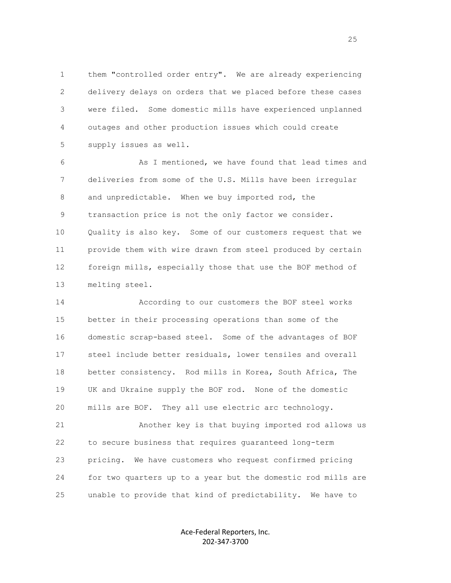1 them "controlled order entry". We are already experiencing 2 delivery delays on orders that we placed before these cases 3 were filed. Some domestic mills have experienced unplanned 4 outages and other production issues which could create 5 supply issues as well.

 6 As I mentioned, we have found that lead times and 7 deliveries from some of the U.S. Mills have been irregular 8 and unpredictable. When we buy imported rod, the 9 transaction price is not the only factor we consider. 10 Quality is also key. Some of our customers request that we 11 provide them with wire drawn from steel produced by certain 12 foreign mills, especially those that use the BOF method of 13 melting steel.

 14 According to our customers the BOF steel works 15 better in their processing operations than some of the 16 domestic scrap-based steel. Some of the advantages of BOF 17 steel include better residuals, lower tensiles and overall 18 better consistency. Rod mills in Korea, South Africa, The 19 UK and Ukraine supply the BOF rod. None of the domestic 20 mills are BOF. They all use electric arc technology.

 21 Another key is that buying imported rod allows us 22 to secure business that requires guaranteed long-term 23 pricing. We have customers who request confirmed pricing 24 for two quarters up to a year but the domestic rod mills are 25 unable to provide that kind of predictability. We have to

> Ace-Federal Reporters, Inc. 202-347-3700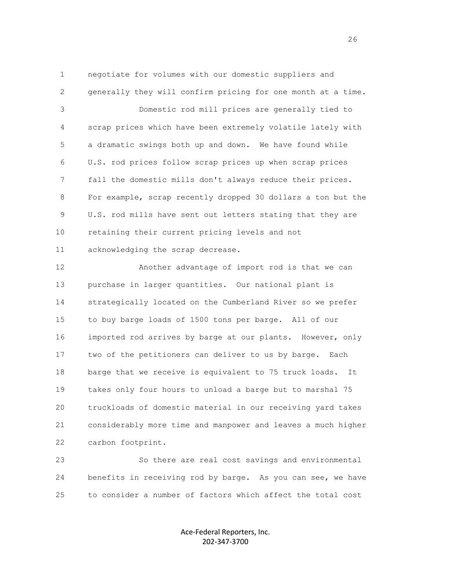1 negotiate for volumes with our domestic suppliers and 2 generally they will confirm pricing for one month at a time. 3 Domestic rod mill prices are generally tied to 4 scrap prices which have been extremely volatile lately with 5 a dramatic swings both up and down. We have found while 6 U.S. rod prices follow scrap prices up when scrap prices 7 fall the domestic mills don't always reduce their prices. 8 For example, scrap recently dropped 30 dollars a ton but the 9 U.S. rod mills have sent out letters stating that they are 10 retaining their current pricing levels and not 11 acknowledging the scrap decrease.

 12 Another advantage of import rod is that we can 13 purchase in larger quantities. Our national plant is 14 strategically located on the Cumberland River so we prefer 15 to buy barge loads of 1500 tons per barge. All of our 16 imported rod arrives by barge at our plants. However, only 17 two of the petitioners can deliver to us by barge. Each 18 barge that we receive is equivalent to 75 truck loads. It 19 takes only four hours to unload a barge but to marshal 75 20 truckloads of domestic material in our receiving yard takes 21 considerably more time and manpower and leaves a much higher 22 carbon footprint.

 23 So there are real cost savings and environmental 24 benefits in receiving rod by barge. As you can see, we have 25 to consider a number of factors which affect the total cost

> Ace-Federal Reporters, Inc. 202-347-3700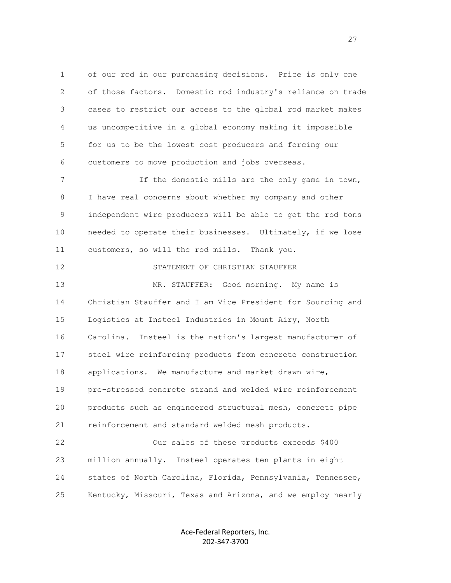1 of our rod in our purchasing decisions. Price is only one 2 of those factors. Domestic rod industry's reliance on trade 3 cases to restrict our access to the global rod market makes 4 us uncompetitive in a global economy making it impossible 5 for us to be the lowest cost producers and forcing our 6 customers to move production and jobs overseas. 7 If the domestic mills are the only game in town,

 8 I have real concerns about whether my company and other 9 independent wire producers will be able to get the rod tons 10 needed to operate their businesses. Ultimately, if we lose 11 customers, so will the rod mills. Thank you.

#### 12 STATEMENT OF CHRISTIAN STAUFFER

 13 MR. STAUFFER: Good morning. My name is 14 Christian Stauffer and I am Vice President for Sourcing and 15 Logistics at Insteel Industries in Mount Airy, North 16 Carolina. Insteel is the nation's largest manufacturer of 17 steel wire reinforcing products from concrete construction 18 applications. We manufacture and market drawn wire, 19 pre-stressed concrete strand and welded wire reinforcement 20 products such as engineered structural mesh, concrete pipe 21 reinforcement and standard welded mesh products.

 22 Our sales of these products exceeds \$400 23 million annually. Insteel operates ten plants in eight 24 states of North Carolina, Florida, Pennsylvania, Tennessee, 25 Kentucky, Missouri, Texas and Arizona, and we employ nearly

> Ace-Federal Reporters, Inc. 202-347-3700

<u>27</u>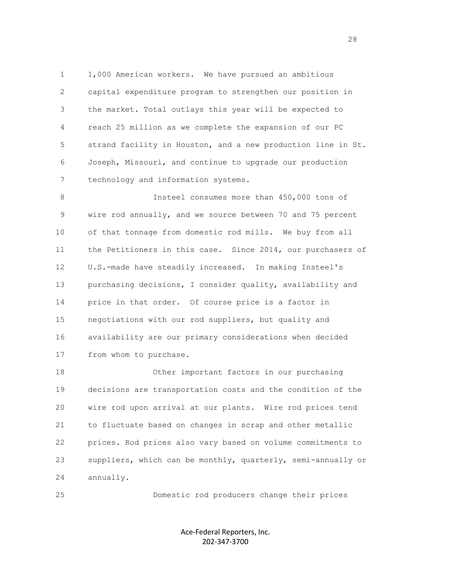1 1,000 American workers. We have pursued an ambitious 2 capital expenditure program to strengthen our position in 3 the market. Total outlays this year will be expected to 4 reach 25 million as we complete the expansion of our PC 5 strand facility in Houston, and a new production line in St. 6 Joseph, Missouri, and continue to upgrade our production 7 technology and information systems.

 8 Insteel consumes more than 450,000 tons of 9 wire rod annually, and we source between 70 and 75 percent 10 of that tonnage from domestic rod mills. We buy from all 11 the Petitioners in this case. Since 2014, our purchasers of 12 U.S.-made have steadily increased. In making Insteel's 13 purchasing decisions, I consider quality, availability and 14 price in that order. Of course price is a factor in 15 negotiations with our rod suppliers, but quality and 16 availability are our primary considerations when decided 17 from whom to purchase.

 18 Other important factors in our purchasing 19 decisions are transportation costs and the condition of the 20 wire rod upon arrival at our plants. Wire rod prices tend 21 to fluctuate based on changes in scrap and other metallic 22 prices. Rod prices also vary based on volume commitments to 23 suppliers, which can be monthly, quarterly, semi-annually or 24 annually.

25 Domestic rod producers change their prices

Ace-Federal Reporters, Inc. 202-347-3700

28 and 28 and 28 and 28 and 28 and 28 and 28 and 28 and 28 and 28 and 28 and 28 and 28 and 28 and 28 and 28 and 28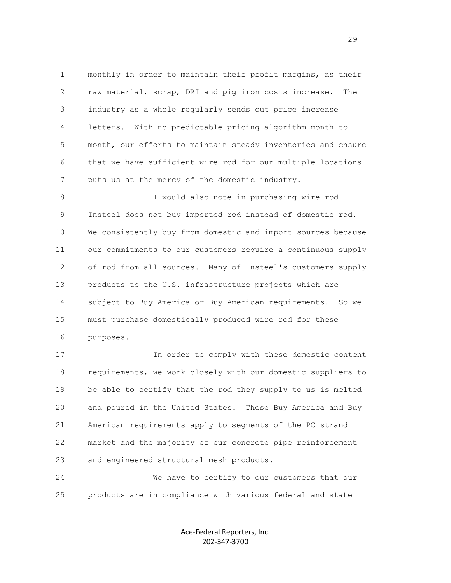1 monthly in order to maintain their profit margins, as their 2 raw material, scrap, DRI and pig iron costs increase. The 3 industry as a whole regularly sends out price increase 4 letters. With no predictable pricing algorithm month to 5 month, our efforts to maintain steady inventories and ensure 6 that we have sufficient wire rod for our multiple locations 7 puts us at the mercy of the domestic industry.

 8 I would also note in purchasing wire rod 9 Insteel does not buy imported rod instead of domestic rod. 10 We consistently buy from domestic and import sources because 11 our commitments to our customers require a continuous supply 12 of rod from all sources. Many of Insteel's customers supply 13 products to the U.S. infrastructure projects which are 14 subject to Buy America or Buy American requirements. So we 15 must purchase domestically produced wire rod for these 16 purposes.

 17 In order to comply with these domestic content 18 requirements, we work closely with our domestic suppliers to 19 be able to certify that the rod they supply to us is melted 20 and poured in the United States. These Buy America and Buy 21 American requirements apply to segments of the PC strand 22 market and the majority of our concrete pipe reinforcement 23 and engineered structural mesh products.

 24 We have to certify to our customers that our 25 products are in compliance with various federal and state

> Ace-Federal Reporters, Inc. 202-347-3700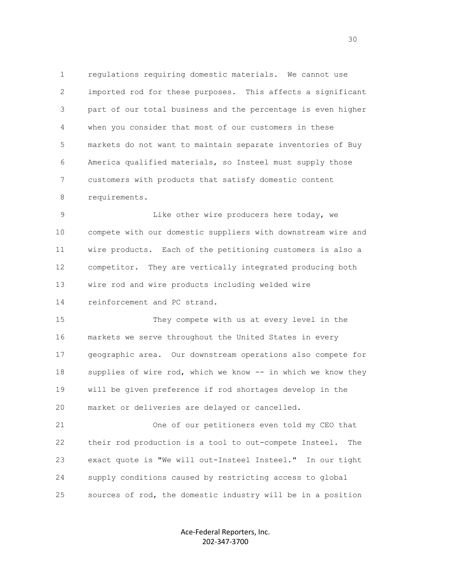1 regulations requiring domestic materials. We cannot use 2 imported rod for these purposes. This affects a significant 3 part of our total business and the percentage is even higher 4 when you consider that most of our customers in these 5 markets do not want to maintain separate inventories of Buy 6 America qualified materials, so Insteel must supply those 7 customers with products that satisfy domestic content 8 requirements.

 9 Like other wire producers here today, we 10 compete with our domestic suppliers with downstream wire and 11 wire products. Each of the petitioning customers is also a 12 competitor. They are vertically integrated producing both 13 wire rod and wire products including welded wire 14 reinforcement and PC strand.

 15 They compete with us at every level in the 16 markets we serve throughout the United States in every 17 geographic area. Our downstream operations also compete for 18 supplies of wire rod, which we know -- in which we know they 19 will be given preference if rod shortages develop in the 20 market or deliveries are delayed or cancelled.

 21 One of our petitioners even told my CEO that 22 their rod production is a tool to out-compete Insteel. The 23 exact quote is "We will out-Insteel Insteel." In our tight 24 supply conditions caused by restricting access to global 25 sources of rod, the domestic industry will be in a position

> Ace-Federal Reporters, Inc. 202-347-3700

<u>30</u>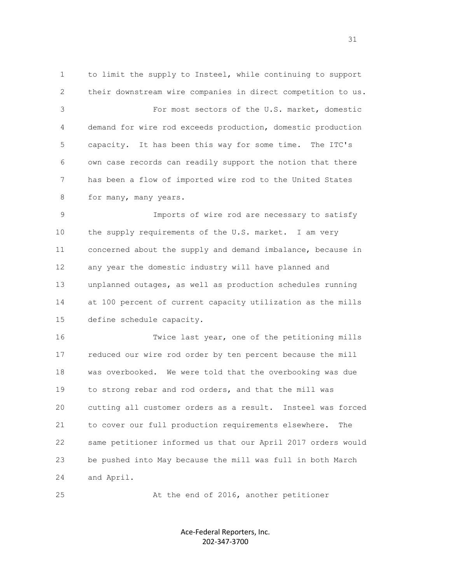1 to limit the supply to Insteel, while continuing to support 2 their downstream wire companies in direct competition to us. 3 For most sectors of the U.S. market, domestic 4 demand for wire rod exceeds production, domestic production 5 capacity. It has been this way for some time. The ITC's 6 own case records can readily support the notion that there 7 has been a flow of imported wire rod to the United States 8 for many, many years. 9 Imports of wire rod are necessary to satisfy 10 the supply requirements of the U.S. market. I am very 11 concerned about the supply and demand imbalance, because in 12 any year the domestic industry will have planned and 13 unplanned outages, as well as production schedules running

 14 at 100 percent of current capacity utilization as the mills 15 define schedule capacity.

 16 Twice last year, one of the petitioning mills 17 reduced our wire rod order by ten percent because the mill 18 was overbooked. We were told that the overbooking was due 19 to strong rebar and rod orders, and that the mill was 20 cutting all customer orders as a result. Insteel was forced 21 to cover our full production requirements elsewhere. The 22 same petitioner informed us that our April 2017 orders would 23 be pushed into May because the mill was full in both March 24 and April.

25 At the end of 2016, another petitioner

Ace-Federal Reporters, Inc. 202-347-3700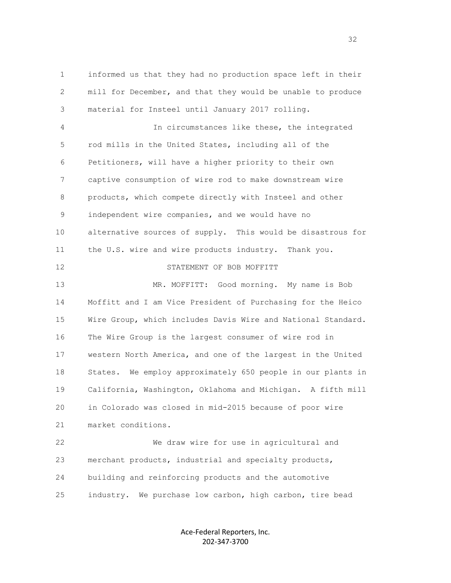1 informed us that they had no production space left in their 2 mill for December, and that they would be unable to produce 3 material for Insteel until January 2017 rolling.

 4 In circumstances like these, the integrated 5 rod mills in the United States, including all of the 6 Petitioners, will have a higher priority to their own 7 captive consumption of wire rod to make downstream wire 8 products, which compete directly with Insteel and other 9 independent wire companies, and we would have no 10 alternative sources of supply. This would be disastrous for 11 the U.S. wire and wire products industry. Thank you. 12 STATEMENT OF BOB MOFFITT 13 MR. MOFFITT: Good morning. My name is Bob 14 Moffitt and I am Vice President of Purchasing for the Heico 15 Wire Group, which includes Davis Wire and National Standard. 16 The Wire Group is the largest consumer of wire rod in 17 western North America, and one of the largest in the United 18 States. We employ approximately 650 people in our plants in 19 California, Washington, Oklahoma and Michigan. A fifth mill 20 in Colorado was closed in mid-2015 because of poor wire 21 market conditions. 22 We draw wire for use in agricultural and

 23 merchant products, industrial and specialty products, 24 building and reinforcing products and the automotive 25 industry. We purchase low carbon, high carbon, tire bead

> Ace-Federal Reporters, Inc. 202-347-3700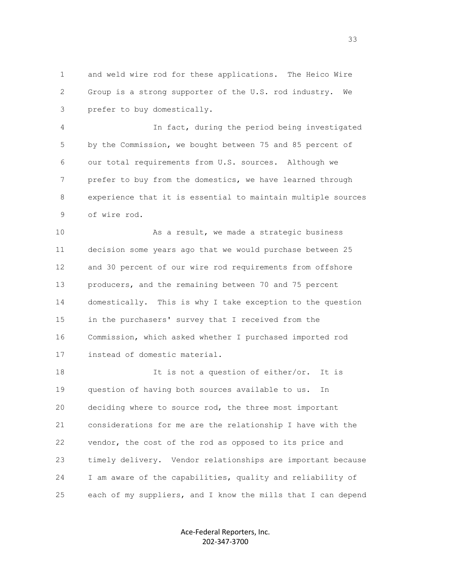1 and weld wire rod for these applications. The Heico Wire 2 Group is a strong supporter of the U.S. rod industry. We 3 prefer to buy domestically.

 4 In fact, during the period being investigated 5 by the Commission, we bought between 75 and 85 percent of 6 our total requirements from U.S. sources. Although we 7 prefer to buy from the domestics, we have learned through 8 experience that it is essential to maintain multiple sources 9 of wire rod.

 10 As a result, we made a strategic business 11 decision some years ago that we would purchase between 25 12 and 30 percent of our wire rod requirements from offshore 13 producers, and the remaining between 70 and 75 percent 14 domestically. This is why I take exception to the question 15 in the purchasers' survey that I received from the 16 Commission, which asked whether I purchased imported rod 17 instead of domestic material.

18 18 It is not a question of either/or. It is 19 question of having both sources available to us. In 20 deciding where to source rod, the three most important 21 considerations for me are the relationship I have with the 22 vendor, the cost of the rod as opposed to its price and 23 timely delivery. Vendor relationships are important because 24 I am aware of the capabilities, quality and reliability of 25 each of my suppliers, and I know the mills that I can depend

> Ace-Federal Reporters, Inc. 202-347-3700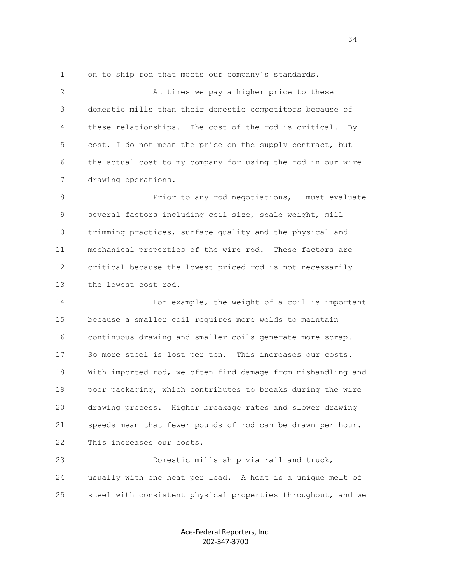1 on to ship rod that meets our company's standards.

 2 At times we pay a higher price to these 3 domestic mills than their domestic competitors because of 4 these relationships. The cost of the rod is critical. By 5 cost, I do not mean the price on the supply contract, but 6 the actual cost to my company for using the rod in our wire 7 drawing operations.

8 **Prior** to any rod negotiations, I must evaluate 9 several factors including coil size, scale weight, mill 10 trimming practices, surface quality and the physical and 11 mechanical properties of the wire rod. These factors are 12 critical because the lowest priced rod is not necessarily 13 the lowest cost rod.

 14 For example, the weight of a coil is important 15 because a smaller coil requires more welds to maintain 16 continuous drawing and smaller coils generate more scrap. 17 So more steel is lost per ton. This increases our costs. 18 With imported rod, we often find damage from mishandling and 19 poor packaging, which contributes to breaks during the wire 20 drawing process. Higher breakage rates and slower drawing 21 speeds mean that fewer pounds of rod can be drawn per hour. 22 This increases our costs.

 23 Domestic mills ship via rail and truck, 24 usually with one heat per load. A heat is a unique melt of 25 steel with consistent physical properties throughout, and we

> Ace-Federal Reporters, Inc. 202-347-3700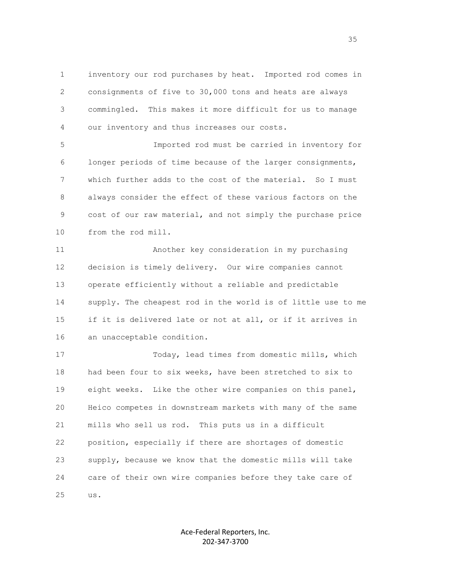1 inventory our rod purchases by heat. Imported rod comes in 2 consignments of five to 30,000 tons and heats are always 3 commingled. This makes it more difficult for us to manage 4 our inventory and thus increases our costs.

 5 Imported rod must be carried in inventory for 6 longer periods of time because of the larger consignments, 7 which further adds to the cost of the material. So I must 8 always consider the effect of these various factors on the 9 cost of our raw material, and not simply the purchase price 10 from the rod mill.

 11 Another key consideration in my purchasing 12 decision is timely delivery. Our wire companies cannot 13 operate efficiently without a reliable and predictable 14 supply. The cheapest rod in the world is of little use to me 15 if it is delivered late or not at all, or if it arrives in 16 an unacceptable condition.

 17 Today, lead times from domestic mills, which 18 had been four to six weeks, have been stretched to six to 19 eight weeks. Like the other wire companies on this panel, 20 Heico competes in downstream markets with many of the same 21 mills who sell us rod. This puts us in a difficult 22 position, especially if there are shortages of domestic 23 supply, because we know that the domestic mills will take 24 care of their own wire companies before they take care of 25 us.

> Ace-Federal Reporters, Inc. 202-347-3700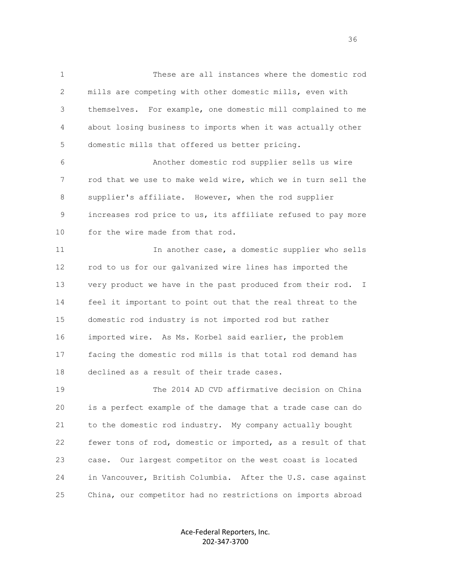1 These are all instances where the domestic rod 2 mills are competing with other domestic mills, even with 3 themselves. For example, one domestic mill complained to me 4 about losing business to imports when it was actually other 5 domestic mills that offered us better pricing.

 6 Another domestic rod supplier sells us wire 7 rod that we use to make weld wire, which we in turn sell the 8 supplier's affiliate. However, when the rod supplier 9 increases rod price to us, its affiliate refused to pay more 10 for the wire made from that rod.

 11 In another case, a domestic supplier who sells 12 rod to us for our galvanized wire lines has imported the 13 very product we have in the past produced from their rod. I 14 feel it important to point out that the real threat to the 15 domestic rod industry is not imported rod but rather 16 imported wire. As Ms. Korbel said earlier, the problem 17 facing the domestic rod mills is that total rod demand has 18 declined as a result of their trade cases.

 19 The 2014 AD CVD affirmative decision on China 20 is a perfect example of the damage that a trade case can do 21 to the domestic rod industry. My company actually bought 22 fewer tons of rod, domestic or imported, as a result of that 23 case. Our largest competitor on the west coast is located 24 in Vancouver, British Columbia. After the U.S. case against 25 China, our competitor had no restrictions on imports abroad

> Ace-Federal Reporters, Inc. 202-347-3700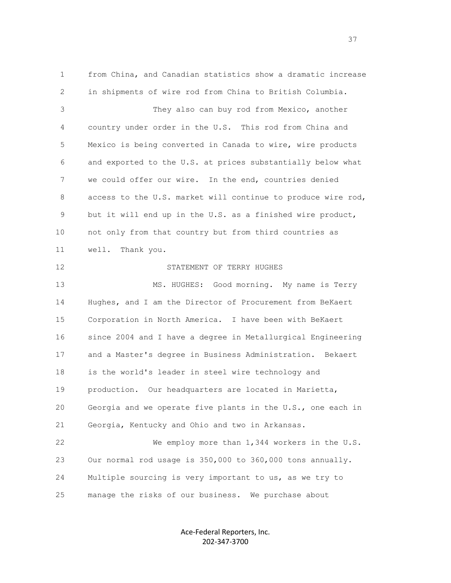1 from China, and Canadian statistics show a dramatic increase 2 in shipments of wire rod from China to British Columbia. 3 They also can buy rod from Mexico, another 4 country under order in the U.S. This rod from China and 5 Mexico is being converted in Canada to wire, wire products 6 and exported to the U.S. at prices substantially below what 7 we could offer our wire. In the end, countries denied 8 access to the U.S. market will continue to produce wire rod, 9 but it will end up in the U.S. as a finished wire product, 10 not only from that country but from third countries as 11 well. Thank you. 12 STATEMENT OF TERRY HUGHES 13 MS. HUGHES: Good morning. My name is Terry 14 Hughes, and I am the Director of Procurement from BeKaert 15 Corporation in North America. I have been with BeKaert 16 since 2004 and I have a degree in Metallurgical Engineering 17 and a Master's degree in Business Administration. Bekaert 18 is the world's leader in steel wire technology and 19 production. Our headquarters are located in Marietta, 20 Georgia and we operate five plants in the U.S., one each in 21 Georgia, Kentucky and Ohio and two in Arkansas. 22 We employ more than 1,344 workers in the U.S. 23 Our normal rod usage is 350,000 to 360,000 tons annually. 24 Multiple sourcing is very important to us, as we try to 25 manage the risks of our business. We purchase about

> Ace-Federal Reporters, Inc. 202-347-3700

<u>37</u>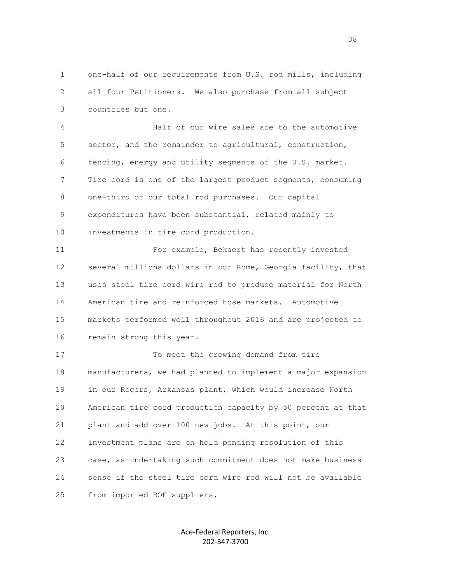1 one-half of our requirements from U.S. rod mills, including 2 all four Petitioners. We also purchase from all subject 3 countries but one.

 4 Half of our wire sales are to the automotive 5 sector, and the remainder to agricultural, construction, 6 fencing, energy and utility segments of the U.S. market. 7 Tire cord is one of the largest product segments, consuming 8 one-third of our total rod purchases. Our capital 9 expenditures have been substantial, related mainly to 10 investments in tire cord production.

 11 For example, Bekaert has recently invested 12 several millions dollars in our Rome, Georgia facility, that 13 uses steel tire cord wire rod to produce material for North 14 American tire and reinforced hose markets. Automotive 15 markets performed well throughout 2016 and are projected to 16 remain strong this year.

 17 To meet the growing demand from tire 18 manufacturers, we had planned to implement a major expansion 19 in our Rogers, Arkansas plant, which would increase North 20 American tire cord production capacity by 50 percent at that 21 plant and add over 100 new jobs. At this point, our 22 investment plans are on hold pending resolution of this 23 case, as undertaking such commitment does not make business 24 sense if the steel tire cord wire rod will not be available 25 from imported BOF suppliers.

> Ace-Federal Reporters, Inc. 202-347-3700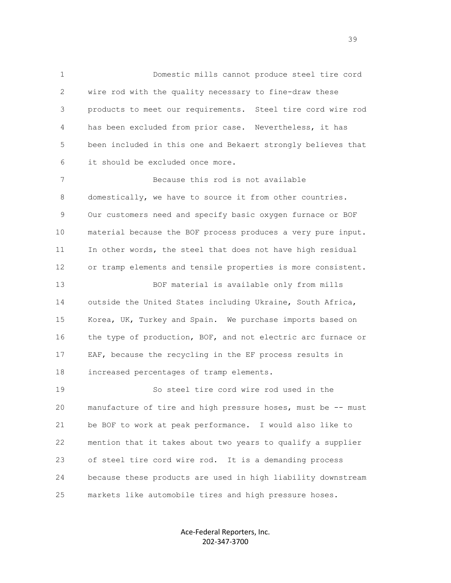1 Domestic mills cannot produce steel tire cord 2 wire rod with the quality necessary to fine-draw these 3 products to meet our requirements. Steel tire cord wire rod 4 has been excluded from prior case. Nevertheless, it has 5 been included in this one and Bekaert strongly believes that 6 it should be excluded once more. 7 Because this rod is not available 8 domestically, we have to source it from other countries. 9 Our customers need and specify basic oxygen furnace or BOF 10 material because the BOF process produces a very pure input. 11 In other words, the steel that does not have high residual 12 or tramp elements and tensile properties is more consistent. 13 BOF material is available only from mills 14 outside the United States including Ukraine, South Africa, 15 Korea, UK, Turkey and Spain. We purchase imports based on 16 the type of production, BOF, and not electric arc furnace or 17 EAF, because the recycling in the EF process results in 18 increased percentages of tramp elements. 19 So steel tire cord wire rod used in the 20 manufacture of tire and high pressure hoses, must be -- must 21 be BOF to work at peak performance. I would also like to 22 mention that it takes about two years to qualify a supplier

 23 of steel tire cord wire rod. It is a demanding process 24 because these products are used in high liability downstream 25 markets like automobile tires and high pressure hoses.

> Ace-Federal Reporters, Inc. 202-347-3700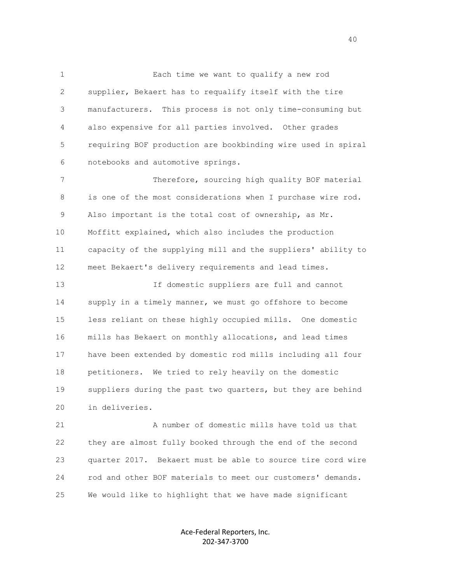1 Each time we want to qualify a new rod 2 supplier, Bekaert has to requalify itself with the tire 3 manufacturers. This process is not only time-consuming but 4 also expensive for all parties involved. Other grades 5 requiring BOF production are bookbinding wire used in spiral 6 notebooks and automotive springs.

 7 Therefore, sourcing high quality BOF material 8 is one of the most considerations when I purchase wire rod. 9 Also important is the total cost of ownership, as Mr. 10 Moffitt explained, which also includes the production 11 capacity of the supplying mill and the suppliers' ability to 12 meet Bekaert's delivery requirements and lead times.

 13 If domestic suppliers are full and cannot 14 supply in a timely manner, we must go offshore to become 15 less reliant on these highly occupied mills. One domestic 16 mills has Bekaert on monthly allocations, and lead times 17 have been extended by domestic rod mills including all four 18 petitioners. We tried to rely heavily on the domestic 19 suppliers during the past two quarters, but they are behind 20 in deliveries.

 21 A number of domestic mills have told us that 22 they are almost fully booked through the end of the second 23 quarter 2017. Bekaert must be able to source tire cord wire 24 rod and other BOF materials to meet our customers' demands. 25 We would like to highlight that we have made significant

> Ace-Federal Reporters, Inc. 202-347-3700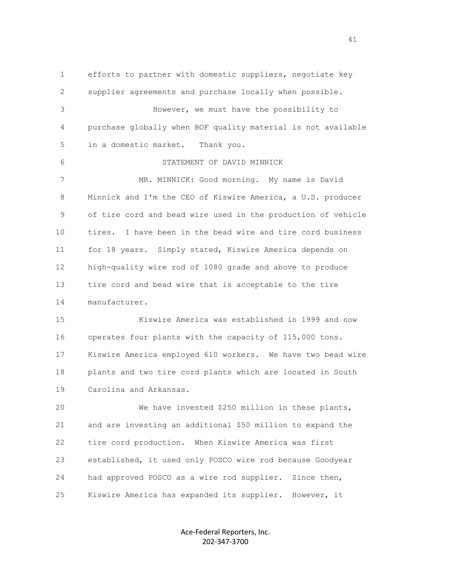1 efforts to partner with domestic suppliers, negotiate key 2 supplier agreements and purchase locally when possible. 3 However, we must have the possibility to 4 purchase globally when BOF quality material is not available 5 in a domestic market. Thank you. 6 STATEMENT OF DAVID MINNICK 7 MR. MINNICK: Good morning. My name is David 8 Minnick and I'm the CEO of Kiswire America, a U.S. producer 9 of tire cord and bead wire used in the production of vehicle 10 tires. I have been in the bead wire and tire cord business 11 for 18 years. Simply stated, Kiswire America depends on 12 high-quality wire rod of 1080 grade and above to produce 13 tire cord and bead wire that is acceptable to the tire 14 manufacturer. 15 Kiswire America was established in 1999 and now 16 operates four plants with the capacity of 115,000 tons. 17 Kiswire America employed 610 workers. We have two bead wire 18 plants and two tire cord plants which are located in South 19 Carolina and Arkansas. 20 We have invested \$250 million in these plants, 21 and are investing an additional \$50 million to expand the 22 tire cord production. When Kiswire America was first 23 established, it used only POSCO wire rod because Goodyear 24 had approved POSCO as a wire rod supplier. Since then, 25 Kiswire America has expanded its supplier. However, it

> Ace-Federal Reporters, Inc. 202-347-3700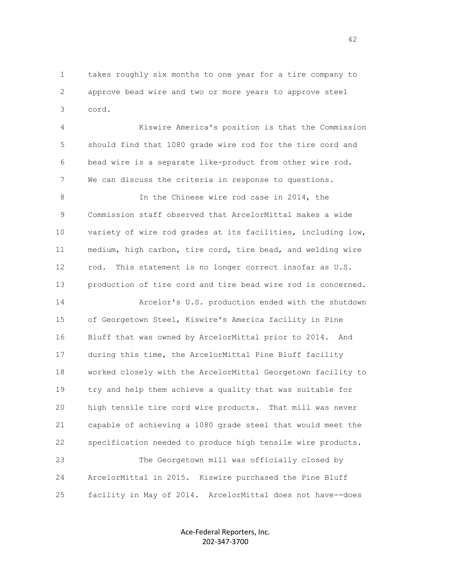1 takes roughly six months to one year for a tire company to 2 approve bead wire and two or more years to approve steel 3 cord.

 4 Kiswire America's position is that the Commission 5 should find that 1080 grade wire rod for the tire cord and 6 bead wire is a separate like-product from other wire rod. 7 We can discuss the criteria in response to questions.

 8 In the Chinese wire rod case in 2014, the 9 Commission staff observed that ArcelorMittal makes a wide 10 variety of wire rod grades at its facilities, including low, 11 medium, high carbon, tire cord, tire bead, and welding wire 12 rod. This statement is no longer correct insofar as U.S. 13 production of tire cord and tire bead wire rod is concerned.

 14 Arcelor's U.S. production ended with the shutdown 15 of Georgetown Steel, Kiswire's America facility in Pine 16 Bluff that was owned by ArcelorMittal prior to 2014. And 17 during this time, the ArcelorMittal Pine Bluff facility 18 worked closely with the ArcelorMittal Georgetown facility to 19 try and help them achieve a quality that was suitable for 20 high tensile tire cord wire products. That mill was never 21 capable of achieving a 1080 grade steel that would meet the 22 specification needed to produce high tensile wire products. 23 The Georgetown mill was officially closed by

 24 ArcelorMittal in 2015. Kiswire purchased the Pine Bluff 25 facility in May of 2014. ArcelorMittal does not have--does

> Ace-Federal Reporters, Inc. 202-347-3700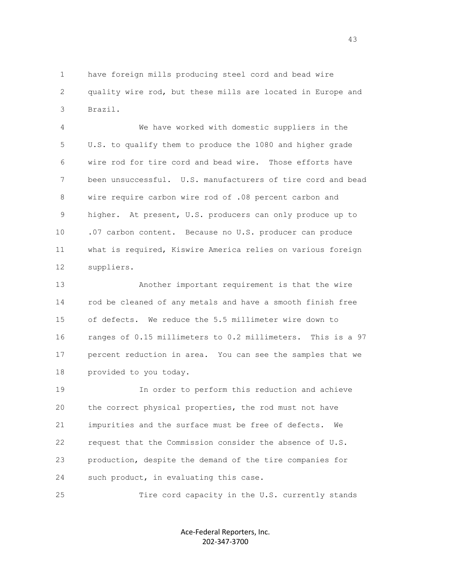1 have foreign mills producing steel cord and bead wire 2 quality wire rod, but these mills are located in Europe and 3 Brazil.

 4 We have worked with domestic suppliers in the 5 U.S. to qualify them to produce the 1080 and higher grade 6 wire rod for tire cord and bead wire. Those efforts have 7 been unsuccessful. U.S. manufacturers of tire cord and bead 8 wire require carbon wire rod of .08 percent carbon and 9 higher. At present, U.S. producers can only produce up to 10 .07 carbon content. Because no U.S. producer can produce 11 what is required, Kiswire America relies on various foreign 12 suppliers.

 13 Another important requirement is that the wire 14 rod be cleaned of any metals and have a smooth finish free 15 of defects. We reduce the 5.5 millimeter wire down to 16 ranges of 0.15 millimeters to 0.2 millimeters. This is a 97 17 percent reduction in area. You can see the samples that we 18 provided to you today.

 19 In order to perform this reduction and achieve 20 the correct physical properties, the rod must not have 21 impurities and the surface must be free of defects. We 22 request that the Commission consider the absence of U.S. 23 production, despite the demand of the tire companies for 24 such product, in evaluating this case.

25 Tire cord capacity in the U.S. currently stands

Ace-Federal Reporters, Inc. 202-347-3700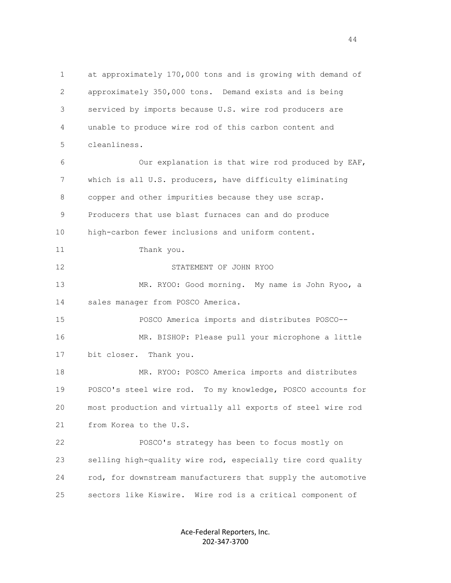1 at approximately 170,000 tons and is growing with demand of 2 approximately 350,000 tons. Demand exists and is being 3 serviced by imports because U.S. wire rod producers are 4 unable to produce wire rod of this carbon content and 5 cleanliness. 6 Our explanation is that wire rod produced by EAF, 7 which is all U.S. producers, have difficulty eliminating 8 copper and other impurities because they use scrap. 9 Producers that use blast furnaces can and do produce 10 high-carbon fewer inclusions and uniform content. 11 Thank you. 12 STATEMENT OF JOHN RYOO 13 MR. RYOO: Good morning. My name is John Ryoo, a 14 sales manager from POSCO America. 15 POSCO America imports and distributes POSCO-- 16 MR. BISHOP: Please pull your microphone a little 17 bit closer. Thank you. 18 MR. RYOO: POSCO America imports and distributes 19 POSCO's steel wire rod. To my knowledge, POSCO accounts for 20 most production and virtually all exports of steel wire rod 21 from Korea to the U.S. 22 POSCO's strategy has been to focus mostly on 23 selling high-quality wire rod, especially tire cord quality 24 rod, for downstream manufacturers that supply the automotive 25 sectors like Kiswire. Wire rod is a critical component of

> Ace-Federal Reporters, Inc. 202-347-3700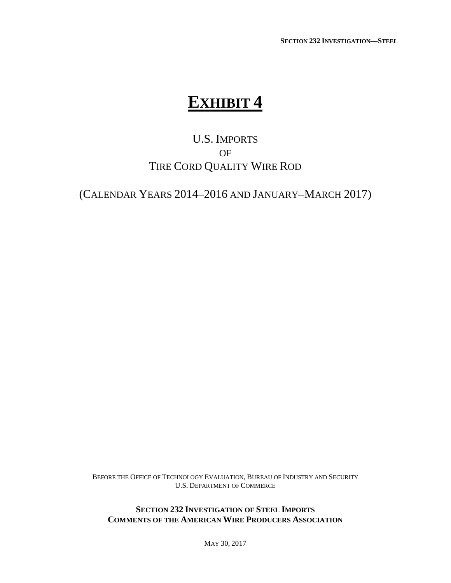**SECTION 232 INVESTIGATION—STEEL**

## **EXHIBIT 4**

### U.S. IMPORTS OF TIRE CORD QUALITY WIRE ROD

(CALENDAR YEARS 2014–2016 AND JANUARY–MARCH 2017)

BEFORE THE OFFICE OF TECHNOLOGY EVALUATION, BUREAU OF INDUSTRY AND SECURITY U.S. DEPARTMENT OF COMMERCE

**SECTION 232 INVESTIGATION OF STEEL IMPORTS COMMENTS OF THE AMERICAN WIRE PRODUCERS ASSOCIATION**

MAY 30, 2017